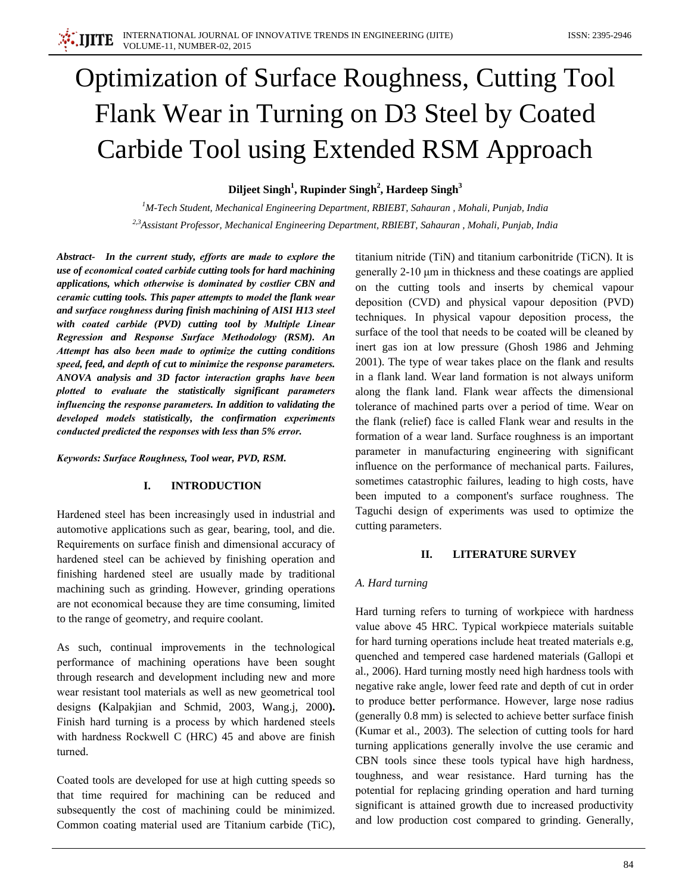# **Optimization of Surface Roughness, Cutting Tool** Flank Wear in Turning on D3 Steel by Coated Carbide Tool using Extended RSM Approach

# Diljeet Singh<sup>1</sup>, Rupinder Singh<sup>2</sup>, Hardeep Singh<sup>3</sup>

 ${}^{1}$ M-Tech Student, Mechanical Engineering Department, RBIEBT, Sahauran, Mohali, Punjab, India <sup>2,3</sup>Assistant Professor, Mechanical Engineering Department, RBIEBT, Sahauran, Mohali, Punjab, India

Abstract- In the current study, efforts are made to explore the use of economical coated carbide cutting tools for hard machining applications, which otherwise is dominated by costlier CBN and ceramic cutting tools. This paper attempts to model the flank wear and surface roughness during finish machining of AISI H13 steel with coated carbide (PVD) cutting tool by Multiple Linear Regression and Response Surface Methodology (RSM). An Attempt has also been made to optimize the cutting conditions speed, feed, and depth of cut to minimize the response parameters. ANOVA analysis and 3D factor interaction graphs have been plotted to evaluate the statistically significant parameters influencing the response parameters. In addition to validating the developed models statistically, the confirmation experiments conducted predicted the responses with less than 5% error.

Keywords: Surface Roughness, Tool wear, PVD, RSM.

#### I. **INTRODUCTION**

Hardened steel has been increasingly used in industrial and automotive applications such as gear, bearing, tool, and die. Requirements on surface finish and dimensional accuracy of hardened steel can be achieved by finishing operation and finishing hardened steel are usually made by traditional machining such as grinding. However, grinding operations are not economical because they are time consuming, limited to the range of geometry, and require coolant.

As such, continual improvements in the technological performance of machining operations have been sought through research and development including new and more wear resistant tool materials as well as new geometrical tool designs (Kalpakjian and Schmid, 2003, Wang.j, 2000). Finish hard turning is a process by which hardened steels with hardness Rockwell C (HRC) 45 and above are finish turned.

Coated tools are developed for use at high cutting speeds so that time required for machining can be reduced and subsequently the cost of machining could be minimized. Common coating material used are Titanium carbide (TiC), titanium nitride (TiN) and titanium carbonitride (TiCN). It is generally 2-10 µm in thickness and these coatings are applied on the cutting tools and inserts by chemical vapour deposition (CVD) and physical vapour deposition (PVD) techniques. In physical vapour deposition process, the surface of the tool that needs to be coated will be cleaned by inert gas ion at low pressure (Ghosh 1986 and Jehming 2001). The type of wear takes place on the flank and results in a flank land. Wear land formation is not always uniform along the flank land. Flank wear affects the dimensional tolerance of machined parts over a period of time. Wear on the flank (relief) face is called Flank wear and results in the formation of a wear land. Surface roughness is an important parameter in manufacturing engineering with significant influence on the performance of mechanical parts. Failures, sometimes catastrophic failures, leading to high costs, have been imputed to a component's surface roughness. The Taguchi design of experiments was used to optimize the cutting parameters.

#### II. **LITERATURE SURVEY**

### A. Hard turning

Hard turning refers to turning of workpiece with hardness value above 45 HRC. Typical workpiece materials suitable for hard turning operations include heat treated materials e.g, quenched and tempered case hardened materials (Gallopi et al., 2006). Hard turning mostly need high hardness tools with negative rake angle, lower feed rate and depth of cut in order to produce better performance. However, large nose radius (generally 0.8 mm) is selected to achieve better surface finish (Kumar et al., 2003). The selection of cutting tools for hard turning applications generally involve the use ceramic and CBN tools since these tools typical have high hardness, toughness, and wear resistance. Hard turning has the potential for replacing grinding operation and hard turning significant is attained growth due to increased productivity and low production cost compared to grinding. Generally,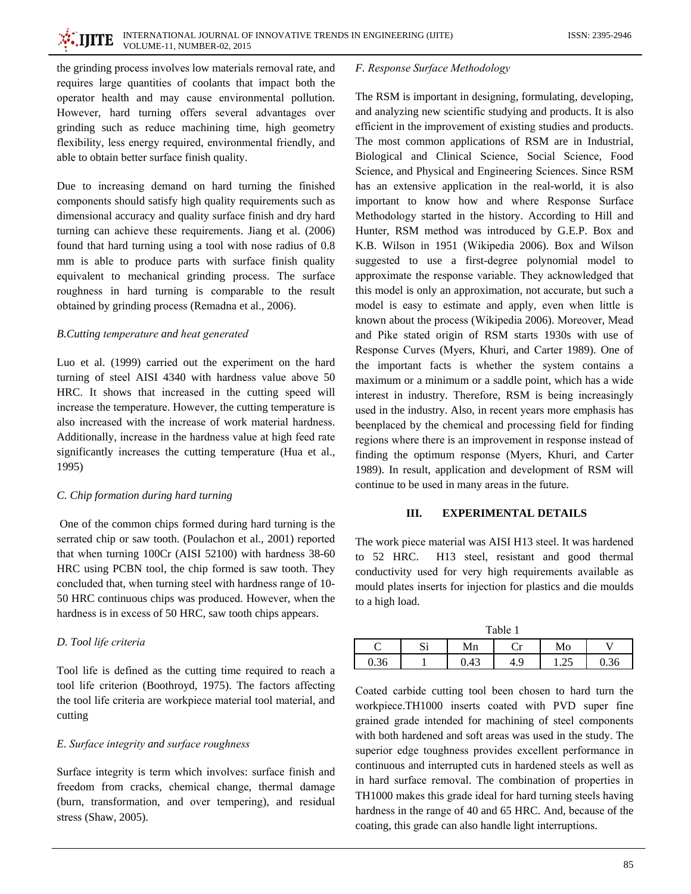the grinding process involves low materials removal rate, and requires large quantities of coolants that impact both the operator health and may cause environmental pollution. However, hard turning offers several advantages over grinding such as reduce machining time, high geometry flexibility, less energy required, environmental friendly, and able to obtain better surface finish quality.

Due to increasing demand on hard turning the finished components should satisfy high quality requirements such as dimensional accuracy and quality surface finish and dry hard turning can achieve these requirements. Jiang et al. (2006) found that hard turning using a tool with nose radius of 0.8 mm is able to produce parts with surface finish quality equivalent to mechanical grinding process. The surface roughness in hard turning is comparable to the result obtained by grinding process (Remadna et al., 2006).

# B. Cutting temperature and heat generated

Luo et al. (1999) carried out the experiment on the hard turning of steel AISI 4340 with hardness value above 50 HRC. It shows that increased in the cutting speed will increase the temperature. However, the cutting temperature is also increased with the increase of work material hardness. Additionally, increase in the hardness value at high feed rate significantly increases the cutting temperature (Hua et al., 1995)

# C. Chip formation during hard turning

One of the common chips formed during hard turning is the serrated chip or saw tooth. (Poulachon et al., 2001) reported that when turning 100Cr (AISI 52100) with hardness 38-60 HRC using PCBN tool, the chip formed is saw tooth. They concluded that, when turning steel with hardness range of 10-50 HRC continuous chips was produced. However, when the hardness is in excess of 50 HRC, saw tooth chips appears.

# D. Tool life criteria

Tool life is defined as the cutting time required to reach a tool life criterion (Boothroyd, 1975). The factors affecting the tool life criteria are workpiece material tool material, and cutting

# E. Surface integrity and surface roughness

Surface integrity is term which involves: surface finish and freedom from cracks, chemical change, thermal damage (burn, transformation, and over tempering), and residual stress (Shaw, 2005).

# F. Response Surface Methodology

The RSM is important in designing, formulating, developing, and analyzing new scientific studying and products. It is also efficient in the improvement of existing studies and products. The most common applications of RSM are in Industrial, Biological and Clinical Science, Social Science, Food Science, and Physical and Engineering Sciences. Since RSM has an extensive application in the real-world, it is also important to know how and where Response Surface Methodology started in the history. According to Hill and Hunter, RSM method was introduced by G.E.P. Box and K.B. Wilson in 1951 (Wikipedia 2006). Box and Wilson suggested to use a first-degree polynomial model to approximate the response variable. They acknowledged that this model is only an approximation, not accurate, but such a model is easy to estimate and apply, even when little is known about the process (Wikipedia 2006). Moreover, Mead and Pike stated origin of RSM starts 1930s with use of Response Curves (Myers, Khuri, and Carter 1989). One of the important facts is whether the system contains a maximum or a minimum or a saddle point, which has a wide interest in industry. Therefore, RSM is being increasingly used in the industry. Also, in recent years more emphasis has beenplaced by the chemical and processing field for finding regions where there is an improvement in response instead of finding the optimum response (Myers, Khuri, and Carter 1989). In result, application and development of RSM will continue to be used in many areas in the future.

#### III. **EXPERIMENTAL DETAILS**

The work piece material was AISI H13 steel. It was hardened to 52 HRC. H13 steel, resistant and good thermal conductivity used for very high requirements available as mould plates inserts for injection for plastics and die moulds to a high load.

 $T_2L1_2$  1

| I abie |          |      |          |         |      |  |  |  |
|--------|----------|------|----------|---------|------|--|--|--|
|        | U.<br>ມ⊥ | Mn   | .        | Mo      |      |  |  |  |
| 0.36   |          | 0.43 | Q<br>4.> | ن کے با | 0.36 |  |  |  |

Coated carbide cutting tool been chosen to hard turn the workpiece.TH1000 inserts coated with PVD super fine grained grade intended for machining of steel components with both hardened and soft areas was used in the study. The superior edge toughness provides excellent performance in continuous and interrupted cuts in hardened steels as well as in hard surface removal. The combination of properties in TH1000 makes this grade ideal for hard turning steels having hardness in the range of 40 and 65 HRC. And, because of the coating, this grade can also handle light interruptions.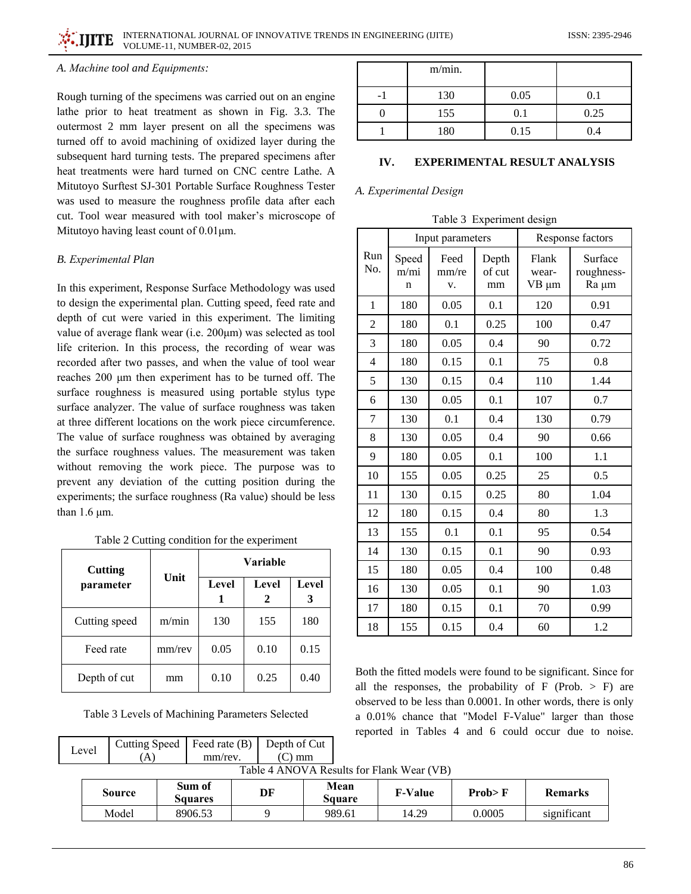# A. Machine tool and Equipments:

Rough turning of the specimens was carried out on an engine lathe prior to heat treatment as shown in Fig. 3.3. The outermost 2 mm layer present on all the specimens was turned off to avoid machining of oxidized layer during the subsequent hard turning tests. The prepared specimens after heat treatments were hard turned on CNC centre Lathe. A Mitutoyo Surftest SJ-301 Portable Surface Roughness Tester was used to measure the roughness profile data after each cut. Tool wear measured with tool maker's microscope of Mitutovo having least count of  $0.01 \mu m$ .

# **B.** Experimental Plan

In this experiment, Response Surface Methodology was used to design the experimental plan. Cutting speed, feed rate and depth of cut were varied in this experiment. The limiting value of average flank wear (i.e. 200μm) was selected as tool life criterion. In this process, the recording of wear was recorded after two passes, and when the value of tool wear reaches 200 µm then experiment has to be turned off. The surface roughness is measured using portable stylus type surface analyzer. The value of surface roughness was taken at three different locations on the work piece circumference. The value of surface roughness was obtained by averaging the surface roughness values. The measurement was taken without removing the work piece. The purpose was to prevent any deviation of the cutting position during the experiments; the surface roughness (Ra value) should be less than  $1.6 \mu m$ .

Table 2 Cutting condition for the experiment

| <b>Cutting</b> |        | Variable |       |       |  |
|----------------|--------|----------|-------|-------|--|
| parameter      | Unit   | Level    | Level | Level |  |
| Cutting speed  | m/min  | 130      | 155   | 180   |  |
| Feed rate      | mm/rev | 0.05     | 0.10  | 0.15  |  |
| Depth of cut   | mm     | 0.10     | 0.25  | 0.40  |  |

Table 3 Levels of Machining Parameters Selected

Feed rate (B)

mm/rev.

**Cutting Speed** 

 $(A)$ 

Level

| m/min. |      |      |
|--------|------|------|
| 130    | 0.05 | 0.1  |
| 155    | 0.1  | 0.25 |
| 180    | 0.15 | 0.4  |

### IV. **EXPERIMENTAL RESULT ANALYSIS**

# A. Experimental Design

| Table 3 Experiment design |
|---------------------------|
|---------------------------|

|                |                    | Input parameters    |                       |                         | Response factors               |
|----------------|--------------------|---------------------|-----------------------|-------------------------|--------------------------------|
| Run<br>No.     | Speed<br>m/mi<br>n | Feed<br>mm/re<br>v. | Depth<br>of cut<br>mm | Flank<br>wear-<br>VΒ μm | Surface<br>roughness-<br>Ra µm |
| 1              | 180                | 0.05                | 0.1                   | 120                     | 0.91                           |
| $\overline{2}$ | 180                | 0.1                 | 0.25                  | 100                     | 0.47                           |
| 3              | 180                | 0.05                | 0.4                   | 90                      | 0.72                           |
| $\overline{4}$ | 180                | 0.15                | 0.1                   | 75                      | 0.8                            |
| 5              | 130                | 0.15                | 0.4                   | 110                     | 1.44                           |
| 6              | 130                | 0.05                | 0.1                   | 107                     | 0.7                            |
| 7              | 130                | 0.1                 | 0.4                   | 130                     | 0.79                           |
| 8              | 130                | 0.05                | 0.4                   | 90                      | 0.66                           |
| 9              | 180                | 0.05                | 0.1                   | 100                     | 1.1                            |
| 10             | 155                | 0.05                | 0.25                  | 25                      | 0.5                            |
| 11             | 130                | 0.15                | 0.25                  | 80                      | 1.04                           |
| 12             | 180                | 0.15                | 0.4                   | 80                      | 1.3                            |
| 13             | 155                | 0.1                 | 0.1                   | 95                      | 0.54                           |
| 14             | 130                | 0.15                | 0.1                   | 90                      | 0.93                           |
| 15             | 180                | 0.05                | 0.4                   | 100                     | 0.48                           |
| 16             | 130                | 0.05                | 0.1                   | 90                      | 1.03                           |
| 17             | 180                | 0.15                | 0.1                   | 70                      | 0.99                           |
| 18             | 155                | 0.15                | 0.4                   | 60                      | 1.2                            |

Both the fitted models were found to be significant. Since for all the responses, the probability of  $F$  (Prob. > F) are observed to be less than 0.0001. In other words, there is only a 0.01% chance that "Model F-Value" larger than those reported in Tables 4 and 6 could occur due to noise.

| Table 4 ANOVA Results for Flank Wear (VB) |                          |    |                |                |          |                |  |
|-------------------------------------------|--------------------------|----|----------------|----------------|----------|----------------|--|
| <b>Source</b>                             | Sum of<br><b>Squares</b> | DF | Mean<br>Sauare | <b>F-Value</b> | Prob > F | <b>Remarks</b> |  |
| Model                                     | 8906.53                  |    | 989.61         | 14.29          | 0.0005   | significant    |  |

 $T<sub>ch</sub>l<sub>2</sub> + ANONA_{Dz}l<sub>2</sub>$ 

Depth of Cut

 $(C)$  mm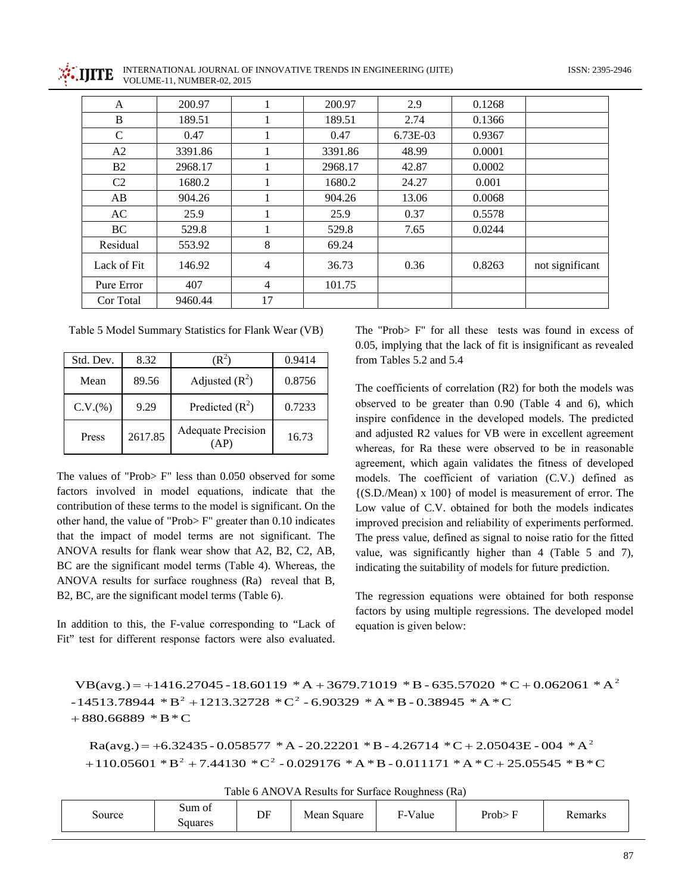INTERNATIONAL JOURNAL OF INNOVATIVE TRENDS IN ENGINEERING (IJITE) VOLUME-11, NUMBER-02, 2015

| A              | 200.97  |                | 200.97  | 2.9      | 0.1268 |                 |
|----------------|---------|----------------|---------|----------|--------|-----------------|
| B              | 189.51  | 1              | 189.51  | 2.74     | 0.1366 |                 |
| C              | 0.47    | 1              | 0.47    | 6.73E-03 | 0.9367 |                 |
| A <sub>2</sub> | 3391.86 | 1              | 3391.86 | 48.99    | 0.0001 |                 |
| B <sub>2</sub> | 2968.17 |                | 2968.17 | 42.87    | 0.0002 |                 |
| C <sub>2</sub> | 1680.2  |                | 1680.2  | 24.27    | 0.001  |                 |
| AB             | 904.26  |                | 904.26  | 13.06    | 0.0068 |                 |
| AC             | 25.9    | 1              | 25.9    | 0.37     | 0.5578 |                 |
| BC             | 529.8   |                | 529.8   | 7.65     | 0.0244 |                 |
| Residual       | 553.92  | $\,8\,$        | 69.24   |          |        |                 |
| Lack of Fit    | 146.92  | 4              | 36.73   | 0.36     | 0.8263 | not significant |
| Pure Error     | 407     | $\overline{4}$ | 101.75  |          |        |                 |
| Cor Total      | 9460.44 | 17             |         |          |        |                 |

Table 5 Model Summary Statistics for Flank Wear (VB)

| Std. Dev. | 8.32    | ĸ.                                | 0.9414 |
|-----------|---------|-----------------------------------|--------|
| Mean      | 89.56   | Adjusted $(R^2)$                  | 0.8756 |
| C.V.(%)   | 9.29    | Predicted $(R^2)$                 | 0.7233 |
| Press     | 2617.85 | <b>Adequate Precision</b><br>(AP) | 16.73  |

The values of "Prob>  $F$ " less than 0.050 observed for some factors involved in model equations, indicate that the contribution of these terms to the model is significant. On the other hand, the value of "Prob> $F$ " greater than 0.10 indicates that the impact of model terms are not significant. The ANOVA results for flank wear show that A2, B2, C2, AB, BC are the significant model terms (Table 4). Whereas, the ANOVA results for surface roughness (Ra) reveal that B, B2, BC, are the significant model terms (Table 6).

In addition to this, the F-value corresponding to "Lack of Fit" test for different response factors were also evaluated.

The "Prob> F" for all these tests was found in excess of 0.05, implying that the lack of fit is insignificant as revealed from Tables 5.2 and 5.4

The coefficients of correlation  $(R2)$  for both the models was observed to be greater than 0.90 (Table 4 and 6), which inspire confidence in the developed models. The predicted and adjusted R2 values for VB were in excellent agreement whereas, for Ra these were observed to be in reasonable agreement, which again validates the fitness of developed models. The coefficient of variation (C.V.) defined as  $\{(S.D./Mean) \times 100\}$  of model is measurement of error. The Low value of C.V. obtained for both the models indicates improved precision and reliability of experiments performed. The press value, defined as signal to noise ratio for the fitted value, was significantly higher than 4 (Table 5 and 7), indicating the suitability of models for future prediction.

The regression equations were obtained for both response factors by using multiple regressions. The developed model equation is given below:

VB(avg.) = +1416.27045 - 18.60119 \* A + 3679.71019 \* B - 635.57020 \* C + 0.062061 \* A<sup>2</sup>  $-14513.78944 * B^2 + 1213.32728 * C^2 - 6.90329 * A * B - 0.38945 * A * C$  $+880.66889 * B*C$ 

 $Ra(avg.) = +6.32435 - 0.058577 * A - 20.22201 * B - 4.26714 * C + 2.05043E - 004 * A^2$ +110.05601 \*  $B^2$  + 7.44130 \* C<sup>2</sup> - 0.029176 \* A \* B - 0.011171 \* A \* C + 25.05545 \* B \* C

|  |  |  |  |  |  | Table 6 ANOVA Results for Surface Roughness (Ra) |  |  |  |
|--|--|--|--|--|--|--------------------------------------------------|--|--|--|
|--|--|--|--|--|--|--------------------------------------------------|--|--|--|

| Source | $\sim$<br>Sum of<br>Squares | DF | Mean<br>Square | $\mathbf{v}$<br>$\sim$<br>F-Value | Prob><br>÷<br>- 1-1 | Remarks |
|--------|-----------------------------|----|----------------|-----------------------------------|---------------------|---------|
|--------|-----------------------------|----|----------------|-----------------------------------|---------------------|---------|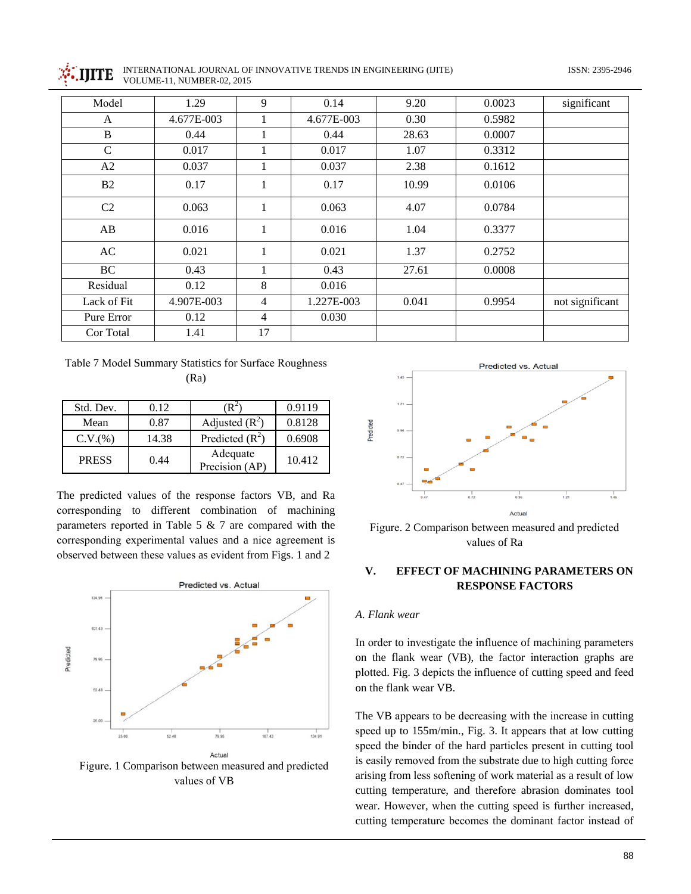



INTERNATIONAL JOURNAL OF INNOVATIVE TRENDS IN ENGINEERING (IJITE) VOLUME-11, NUMBER-02, 2015

| Model          | 1.29       | 9              | 0.14       | 9.20  | 0.0023 | significant     |
|----------------|------------|----------------|------------|-------|--------|-----------------|
| A              | 4.677E-003 |                | 4.677E-003 | 0.30  | 0.5982 |                 |
| $\, {\bf B}$   | 0.44       |                | 0.44       | 28.63 | 0.0007 |                 |
| $\mathcal{C}$  | 0.017      |                | 0.017      | 1.07  | 0.3312 |                 |
| A2             | 0.037      |                | 0.037      | 2.38  | 0.1612 |                 |
| B <sub>2</sub> | 0.17       | 1              | 0.17       | 10.99 | 0.0106 |                 |
| C <sub>2</sub> | 0.063      |                | 0.063      | 4.07  | 0.0784 |                 |
| AB             | 0.016      |                | 0.016      | 1.04  | 0.3377 |                 |
| AC             | 0.021      |                | 0.021      | 1.37  | 0.2752 |                 |
| BC             | 0.43       |                | 0.43       | 27.61 | 0.0008 |                 |
| Residual       | 0.12       | 8              | 0.016      |       |        |                 |
| Lack of Fit    | 4.907E-003 | $\overline{4}$ | 1.227E-003 | 0.041 | 0.9954 | not significant |
| Pure Error     | 0.12       | 4              | 0.030      |       |        |                 |
| Cor Total      | 1.41       | 17             |            |       |        |                 |

Table 7 Model Summary Statistics for Surface Roughness  $(Ra)$ 

| Std. Dev.    | 0.12  | R∸                         | 0.9119 |
|--------------|-------|----------------------------|--------|
| Mean         | 0.87  | Adjusted $(R^2)$           | 0.8128 |
| C.V.(%)      | 14.38 | Predicted $(R^2)$          | 0.6908 |
| <b>PRESS</b> | 0.44  | Adequate<br>Precision (AP) | 10.412 |

The predicted values of the response factors VB, and Ra corresponding to different combination of machining parameters reported in Table 5  $\&$  7 are compared with the corresponding experimental values and a nice agreement is observed between these values as evident from Figs. 1 and 2



Figure. 1 Comparison between measured and predicted values of VB



Figure. 2 Comparison between measured and predicted values of Ra

### V. **EFFECT OF MACHINING PARAMETERS ON RESPONSE FACTORS**

# A. Flank wear

In order to investigate the influence of machining parameters on the flank wear (VB), the factor interaction graphs are plotted. Fig. 3 depicts the influence of cutting speed and feed on the flank wear VB.

The VB appears to be decreasing with the increase in cutting speed up to 155m/min., Fig. 3. It appears that at low cutting speed the binder of the hard particles present in cutting tool is easily removed from the substrate due to high cutting force arising from less softening of work material as a result of low cutting temperature, and therefore abrasion dominates tool wear. However, when the cutting speed is further increased, cutting temperature becomes the dominant factor instead of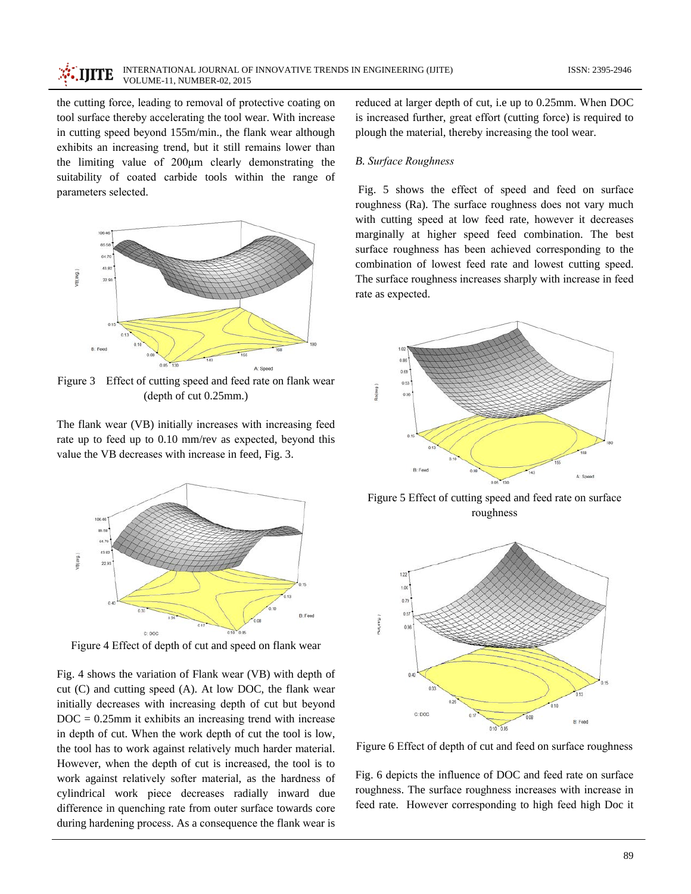the cutting force, leading to removal of protective coating on tool surface thereby accelerating the tool wear. With increase in cutting speed beyond 155m/min., the flank wear although exhibits an increasing trend, but it still remains lower than the limiting value of 200µm clearly demonstrating the suitability of coated carbide tools within the range of parameters selected.



Figure 3 Effect of cutting speed and feed rate on flank wear  $(depth of cut 0.25mm.)$ 

The flank wear (VB) initially increases with increasing feed rate up to feed up to 0.10 mm/rev as expected, beyond this value the VB decreases with increase in feed, Fig. 3.



Figure 4 Effect of depth of cut and speed on flank wear

Fig. 4 shows the variation of Flank wear (VB) with depth of cut (C) and cutting speed (A). At low DOC, the flank wear initially decreases with increasing depth of cut but beyond  $DOC = 0.25mm$  it exhibits an increasing trend with increase in depth of cut. When the work depth of cut the tool is low, the tool has to work against relatively much harder material. However, when the depth of cut is increased, the tool is to work against relatively softer material, as the hardness of cylindrical work piece decreases radially inward due difference in quenching rate from outer surface towards core during hardening process. As a consequence the flank wear is reduced at larger depth of cut, i.e up to 0.25mm. When DOC is increased further, great effort (cutting force) is required to plough the material, thereby increasing the tool wear.

# **B.** Surface Roughness

Fig. 5 shows the effect of speed and feed on surface roughness (Ra). The surface roughness does not vary much with cutting speed at low feed rate, however it decreases marginally at higher speed feed combination. The best surface roughness has been achieved corresponding to the combination of lowest feed rate and lowest cutting speed. The surface roughness increases sharply with increase in feed rate as expected.



Figure 5 Effect of cutting speed and feed rate on surface roughness



Figure 6 Effect of depth of cut and feed on surface roughness

Fig. 6 depicts the influence of DOC and feed rate on surface roughness. The surface roughness increases with increase in feed rate. However corresponding to high feed high Doc it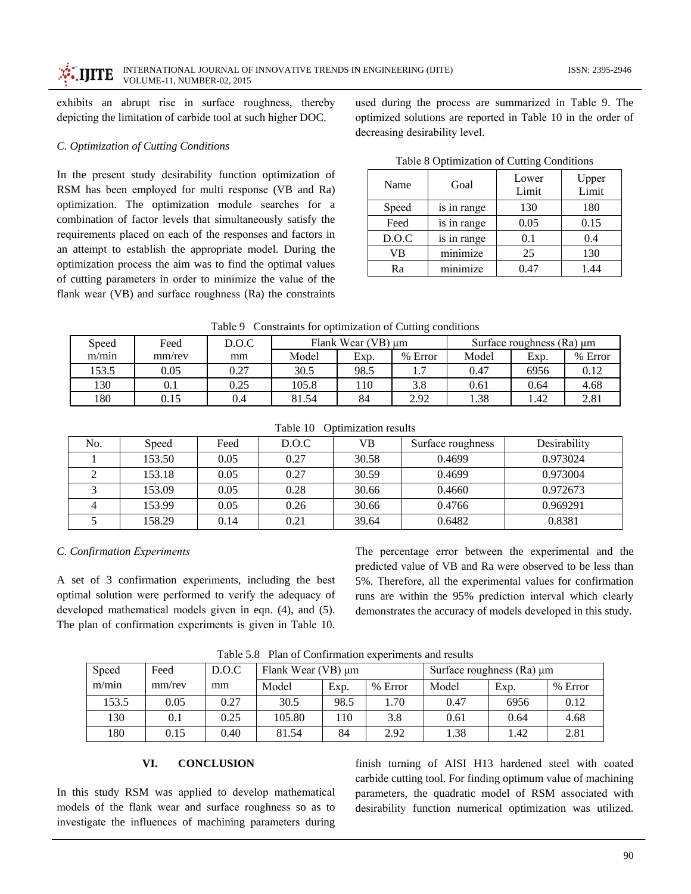exhibits an abrupt rise in surface roughness, thereby depicting the limitation of carbide tool at such higher DOC.

# C. Optimization of Cutting Conditions

In the present study desirability function optimization of RSM has been employed for multi response (VB and Ra) optimization. The optimization module searches for a combination of factor levels that simultaneously satisfy the requirements placed on each of the responses and factors in an attempt to establish the appropriate model. During the optimization process the aim was to find the optimal values of cutting parameters in order to minimize the value of the flank wear (VB) and surface roughness (Ra) the constraints used during the process are summarized in Table 9. The optimized solutions are reported in Table 10 in the order of decreasing desirability level.

| Table 8 Optimization of Cutting Conditions |  |  |
|--------------------------------------------|--|--|
|                                            |  |  |

| Name  | Goal        | Lower<br>Limit | Upper<br>Limit |  |
|-------|-------------|----------------|----------------|--|
| Speed | is in range | 130            | 180            |  |
| Feed  | is in range | 0.05           | 0.15           |  |
| D.O.C | is in range | 0.1            | 0.4            |  |
| VB    | minimize    | 25             | 130            |  |
| Ra    | minimize    | 0.47           | 1.44           |  |

Table 9 Constraints for optimization of Cutting conditions

| Speed | Feed   | D.O.C | Flank Wear (VB) µm |      |                               | Surface roughness $(Ra) \mu m$ |      |         |
|-------|--------|-------|--------------------|------|-------------------------------|--------------------------------|------|---------|
| m/min | mm/rev | mm    | Model              | Exp. | Error<br>$\%$                 | Model                          | Exp. | % Error |
| 153.5 | 0.05   | 0.27  | 30.5               | 98.5 | $\mathbf{1} \cdot \mathbf{1}$ | 0.47                           | 6956 | 0.12    |
| 130   | V. I   | 0.25  | 105.8              | 110  | 3.8                           | 0.61                           | 0.64 | 4.68    |
| 180   | 0.15   | 0.4   | 81.54              | 84   | 2.92                          | 1.38                           | .42  | 2.81    |

| No. | Speed  | Feed | D.O.C | VВ    | Surface roughness | Desirability |
|-----|--------|------|-------|-------|-------------------|--------------|
|     | 153.50 | 0.05 | 0.27  | 30.58 | 0.4699            | 0.973024     |
|     | 153.18 | 0.05 | 0.27  | 30.59 | 0.4699            | 0.973004     |
|     | 153.09 | 0.05 | 0.28  | 30.66 | 0.4660            | 0.972673     |
|     | 153.99 | 0.05 | 0.26  | 30.66 | 0.4766            | 0.969291     |
|     | 158.29 | 0.14 | 0.21  | 39.64 | 0.6482            | 0.8381       |

### Table 10 Optimization results

# C. Confirmation Experiments

A set of 3 confirmation experiments, including the best optimal solution were performed to verify the adequacy of developed mathematical models given in eqn. (4), and (5). The plan of confirmation experiments is given in Table 10. The percentage error between the experimental and the predicted value of VB and Ra were observed to be less than 5%. Therefore, all the experimental values for confirmation runs are within the 95% prediction interval which clearly demonstrates the accuracy of models developed in this study.

Table 5.8 Plan of Confirmation experiments and results

| Speed | Feed   | D.O.C | Flank Wear (VB) µm |      |         | Surface roughness $(Ra) \mu m$ |      |         |
|-------|--------|-------|--------------------|------|---------|--------------------------------|------|---------|
| m/min | mm/rev | mm    | Model              | Exp. | % Error | Model                          | Exp. | % Error |
| 153.5 | 0.05   | 0.27  | 30.5               | 98.5 | 1.70    | 0.47                           | 6956 | 0.12    |
| 130   | 0.1    | 0.25  | 105.80             | 110  | 3.8     | 0.61                           | 0.64 | 4.68    |
| 180   | 0.15   | 0.40  | 81.54              | 84   | 2.92    | 1.38                           | 1.42 | 2.81    |

#### VI. **CONCLUSION**

In this study RSM was applied to develop mathematical models of the flank wear and surface roughness so as to investigate the influences of machining parameters during finish turning of AISI H13 hardened steel with coated carbide cutting tool. For finding optimum value of machining parameters, the quadratic model of RSM associated with desirability function numerical optimization was utilized.

ISSN: 2395-2946